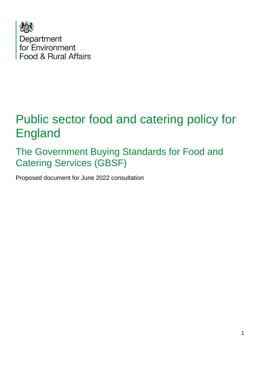

# Public sector food and catering policy for England

The Government Buying Standards for Food and Catering Services (GBSF)

Proposed document for June 2022 consultation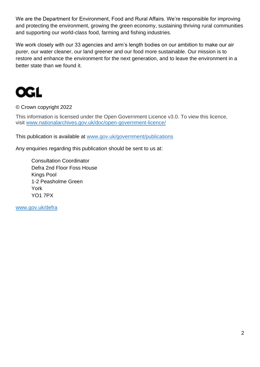We are the Department for Environment, Food and Rural Affairs. We're responsible for improving and protecting the environment, growing the green economy, sustaining thriving rural communities and supporting our world-class food, farming and fishing industries.

We work closely with our 33 agencies and arm's length bodies on our ambition to make our air purer, our water cleaner, our land greener and our food more sustainable. Our mission is to restore and enhance the environment for the next generation, and to leave the environment in a better state than we found it.



© Crown copyright 2022

This information is licensed under the Open Government Licence v3.0. To view this licence, visit [www.nationalarchives.gov.uk/doc/open-government-licence/](http://www.nationalarchives.gov.uk/doc/open-government-licence/)

This publication is available at [www.gov.uk/government/publications](http://www.gov.uk/government/publications) 

Any enquiries regarding this publication should be sent to us at:

Consultation Coordinator Defra 2nd Floor Foss House Kings Pool 1-2 Peasholme Green York YO1 7PX

[www.gov.uk/defra](http://www.gov.uk/defra)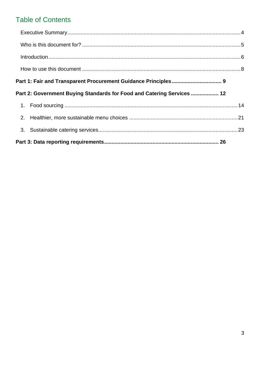### **Table of Contents**

|  | Part 2: Government Buying Standards for Food and Catering Services  12 |  |  |
|--|------------------------------------------------------------------------|--|--|
|  |                                                                        |  |  |
|  |                                                                        |  |  |
|  |                                                                        |  |  |
|  |                                                                        |  |  |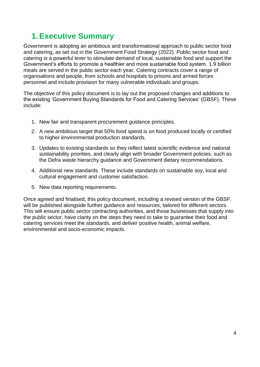## <span id="page-3-0"></span>**1. Executive Summary**

Government is adopting an ambitious and transformational approach to public sector food and catering, as set out in the Government Food Strategy (2022). Public sector food and catering is a powerful lever to stimulate demand of local, sustainable food and support the Government's efforts to promote a healthier and more sustainable food system. 1.9 billion meals are served in the public sector each year. Catering contracts cover a range of organisations and people, from schools and hospitals to prisons and armed forces personnel and include provision for many vulnerable individuals and groups.

The objective of this policy document is to lay out the proposed changes and additions to the existing 'Government Buying Standards for Food and Catering Services' (GBSF). These include:

- 1. New fair and transparent procurement guidance principles.
- 2. A new ambitious target that 50% food spend is on food produced locally or certified to higher environmental production standards.
- 3. Updates to existing standards so they reflect latest scientific evidence and national sustainability priorities, and clearly align with broader Government policies, such as the Defra waste hierarchy guidance and Government dietary recommendations.
- 4. Additional new standards. These include standards on sustainable soy, local and cultural engagement and customer satisfaction.
- 5. New data reporting requirements.

Once agreed and finalised, this policy document, including a revised version of the GBSF, will be published alongside further guidance and resources, tailored for different sectors. This will ensure public sector contracting authorities, and those businesses that supply into the public sector, have clarity on the steps they need to take to guarantee their food and catering services meet the standards, and deliver positive health, animal welfare, environmental and socio-economic impacts.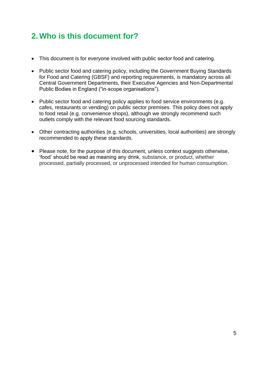## <span id="page-4-0"></span>**2. Who is this document for?**

- This document is for everyone involved with public sector food and catering.
- Public sector food and catering policy, including the Government Buying Standards for Food and Catering (GBSF) and reporting requirements, is mandatory across all Central Government Departments, their Executive Agencies and Non-Departmental Public Bodies in England ("in-scope organisations").
- Public sector food and catering policy applies to food service environments (e.g. cafes, restaurants or vending) on public sector premises. This policy does not apply to food retail (e.g. convenience shops), although we strongly recommend such outlets comply with the relevant food sourcing standards.
- Other contracting authorities (e.g. schools, universities, local authorities) are strongly recommended to apply these standards.
- Please note, for the purpose of this document, unless context suggests otherwise, 'food' should be read as meaning any drink, substance, or product, whether processed, partially processed, or unprocessed intended for human consumption.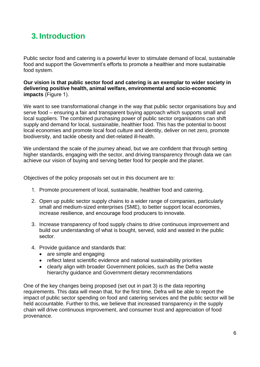# <span id="page-5-0"></span>**3. Introduction**

Public sector food and catering is a powerful lever to stimulate demand of local, sustainable food and support the Government's efforts to promote a healthier and more sustainable food system.

**Our vision is that public sector food and catering is an exemplar to wider society in delivering positive health, animal welfare, environmental and socio-economic impacts** (Figure 1). 

We want to see transformational change in the way that public sector organisations buy and serve food – ensuring a fair and transparent buying approach which supports small and local suppliers. The combined purchasing power of public sector organisations can shift supply and demand for local, sustainable, healthier food. This has the potential to boost local economies and promote local food culture and identity, deliver on net zero, promote biodiversity, and tackle obesity and diet-related ill-health.

We understand the scale of the journey ahead, but we are confident that through setting higher standards, engaging with the sector, and driving transparency through data we can achieve our vision of buying and serving better food for people and the planet.

Objectives of the policy proposals set out in this document are to:

- 1. Promote procurement of local, sustainable, healthier food and catering.
- 2. Open up public sector supply chains to a wider range of companies, particularly small and medium-sized enterprises (SME), to better support local economies, increase resilience, and encourage food producers to innovate.
- 3. Increase transparency of food supply chains to drive continuous improvement and build our understanding of what is bought, served, sold and wasted in the public sector.
- 4. Provide guidance and standards that:
	- are simple and engaging
	- reflect latest scientific evidence and national sustainability priorities
	- clearly align with broader Government policies, such as the Defra waste hierarchy guidance and Government dietary recommendations

One of the key changes being proposed (set out in part 3) is the data reporting requirements. This data will mean that, for the first time, Defra will be able to report the impact of public sector spending on food and catering services and the public sector will be held accountable. Further to this, we believe that increased transparency in the supply chain will drive continuous improvement, and consumer trust and appreciation of food provenance.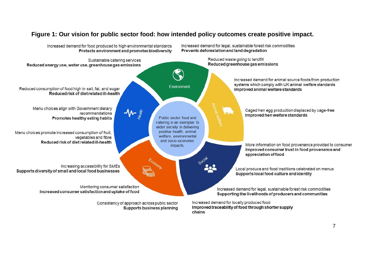### **Figure 1: Our vision for public sector food: how intended policy outcomes create positive impact.**

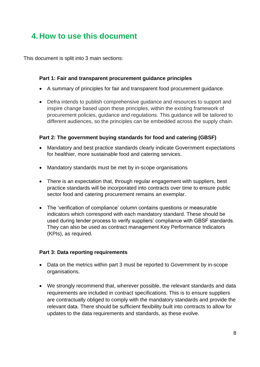## <span id="page-7-0"></span>**4. How to use this document**

This document is split into 3 main sections:

### **Part 1: Fair and transparent procurement guidance principles**

- A summary of principles for fair and transparent food procurement guidance.
- Defra intends to publish comprehensive guidance and resources to support and inspire change based upon these principles, within the existing framework of procurement policies, guidance and regulations. This guidance will be tailored to different audiences, so the principles can be embedded across the supply chain.

#### **Part 2: The government buying standards for food and catering (GBSF)**

- Mandatory and best practice standards clearly indicate Government expectations for healthier, more sustainable food and catering services.
- Mandatory standards must be met by in-scope organisations
- There is an expectation that, through regular engagement with suppliers, best practice standards will be incorporated into contracts over time to ensure public sector food and catering procurement remains an exemplar.
- The 'verification of compliance' column contains questions or measurable indicators which correspond with each mandatory standard. These should be used during tender process to verify suppliers' compliance with GBSF standards. They can also be used as contract management Key Performance Indicators (KPIs), as required.

#### **Part 3: Data reporting requirements**

- Data on the metrics within part 3 must be reported to Government by in-scope organisations.
- We strongly recommend that, wherever possible, the relevant standards and data requirements are included in contract specifications. This is to ensure suppliers are contractually obliged to comply with the mandatory standards and provide the relevant data. There should be sufficient flexibility built into contracts to allow for updates to the data requirements and standards, as these evolve.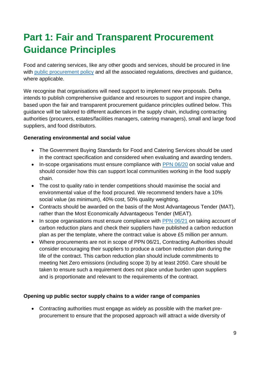# <span id="page-8-0"></span>**Part 1: Fair and Transparent Procurement Guidance Principles**

Food and catering services, like any other goods and services, should be procured in line with [public procurement policy](https://www.gov.uk/guidance/public-sector-procurement-policy) and all the associated regulations, directives and guidance, where applicable.

We recognise that organisations will need support to implement new proposals. Defra intends to publish comprehensive guidance and resources to support and inspire change, based upon the fair and transparent procurement guidance principles outlined below. This guidance will be tailored to different audiences in the supply chain, including contracting authorities (procurers, estates/facilities managers, catering managers), small and large food suppliers, and food distributors.

### **Generating environmental and social value**

- The Government Buying Standards for Food and Catering Services should be used in the contract specification and considered when evaluating and awarding tenders.
- In-scope organisations must ensure compliance with [PPN 06/20](https://www.gov.uk/government/publications/procurement-policy-note-0620-taking-account-of-social-value-in-the-award-of-central-government-contracts) on social value and should consider how this can support local communities working in the food supply chain.
- The cost to quality ratio in tender competitions should maximise the social and environmental value of the food procured. We recommend tenders have a 10% social value (as minimum), 40% cost, 50% quality weighting.
- Contracts should be awarded on the basis of the Most Advantageous Tender (MAT), rather than the Most Economically Advantageous Tender (MEAT).
- In scope organisations must ensure compliance with [PPN 06/21](https://www.gov.uk/government/publications/procurement-policy-note-0621-taking-account-of-carbon-reduction-plans-in-the-procurement-of-major-government-contracts) on taking account of carbon reduction plans and check their suppliers have published a carbon reduction plan as per the template, where the contract value is above £5 million per annum.
- Where procurements are not in scope of PPN 06/21, Contracting Authorities should consider encouraging their suppliers to produce a carbon reduction plan during the life of the contract. This carbon reduction plan should include commitments to meeting Net Zero emissions (including scope 3) by at least 2050. Care should be taken to ensure such a requirement does not place undue burden upon suppliers and is proportionate and relevant to the requirements of the contract.

### **Opening up public sector supply chains to a wider range of companies**

• Contracting authorities must engage as widely as possible with the market preprocurement to ensure that the proposed approach will attract a wide diversity of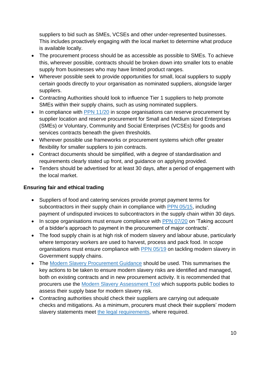suppliers to bid such as SMEs, VCSEs and other under-represented businesses. This includes proactively engaging with the local market to determine what produce is available locally.

- The procurement process should be as accessible as possible to SMEs. To achieve this, wherever possible, contracts should be broken down into smaller lots to enable supply from businesses who may have limited product ranges.
- Wherever possible seek to provide opportunities for small, local suppliers to supply certain goods directly to your organisation as nominated suppliers, alongside larger suppliers.
- Contracting Authorities should look to influence Tier 1 suppliers to help promote SMEs within their supply chains, such as using nominated suppliers.
- In compliance with [PPN 11/20](https://www.gov.uk/government/publications/procurement-policy-note-1120-reserving-below-threshold-procurements) in scope organisations can reserve procurement by supplier location and reserve procurement for Small and Medium sized Enterprises (SMEs) or Voluntary, Community and Social Enterprises (VCSEs) for goods and services contracts beneath the given thresholds.
- Wherever possible use frameworks or procurement systems which offer greater flexibility for smaller suppliers to join contracts.
- Contract documents should be simplified, with a degree of standardisation and requirements clearly stated up front, and guidance on applying provided.
- Tenders should be advertised for at least 30 days, after a period of engagement with the local market.

### **Ensuring fair and ethical trading**

- Suppliers of food and catering services provide prompt payment terms for subcontractors in their supply chain in compliance with [PPN 05/15,](https://www.gov.uk/government/publications/procurement-policy-note-0515-prompt-payment-and-performance-reporting) including payment of undisputed invoices to subcontractors in the supply chain within 30 days.
- In scope organisations must ensure compliance with [PPN 07/20](https://www.gov.uk/government/publications/procurement-policy-note-0720-taking-account-of-a-bidders-approach-to-payment-in-the-procurement-of-major-government-contracts) on 'Taking account of a bidder's approach to payment in the procurement of major contracts'.
- The food supply chain is at high risk of modern slavery and labour abuse, particularly where temporary workers are used to harvest, process and pack food. In scope organisations must ensure compliance with [PPN 05/19](https://www.gov.uk/government/publications/procurement-policy-note-0519-tackling-modern-slavery-in-government-supply-chains) on tackling modern slavery in Government supply chains.
- The [Modern Slavery Procurement Guidance](https://www.gov.uk/government/publications/procurement-policy-note-0519-tackling-modern-slavery-in-government-supply-chains) should be used. This summarises the key actions to be taken to ensure modern slavery risks are identified and managed, both on existing contracts and in new procurement activity. It is recommended that procurers use the [Modern Slavery Assessment Tool](https://supplierregistration.cabinetoffice.gov.uk/msat) which supports public bodies to assess their supply base for modern slavery risk.
- Contracting authorities should check their suppliers are carrying out adequate checks and mitigations. As a minimum, procurers must check their suppliers' modern slavery statements meet [the legal requirements,](https://www.gov.uk/guidance/publish-an-annual-modern-slavery-statement#demonstrate-compliance-with-the-minimum-legal-requirements) where required.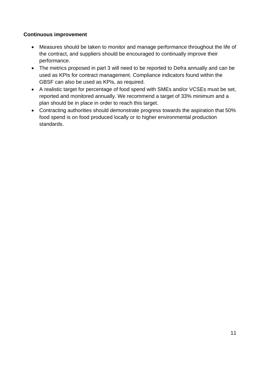### **Continuous improvement**

- Measures should be taken to monitor and manage performance throughout the life of the contract, and suppliers should be encouraged to continually improve their performance.
- The metrics proposed in part 3 will need to be reported to Defra annually and can be used as KPIs for contract management. Compliance indicators found within the GBSF can also be used as KPIs, as required.
- A realistic target for percentage of food spend with SMEs and/or VCSEs must be set, reported and monitored annually. We recommend a target of 33% minimum and a plan should be in place in order to reach this target.
- Contracting authorities should demonstrate progress towards the aspiration that 50% food spend is on food produced locally or to higher environmental production standards.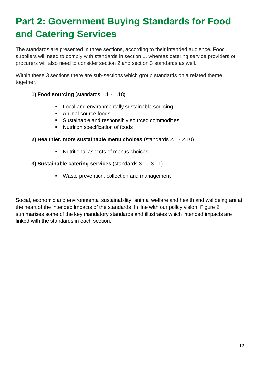# <span id="page-11-0"></span>**Part 2: Government Buying Standards for Food and Catering Services**

The standards are presented in three sections, according to their intended audience. Food suppliers will need to comply with standards in section 1, whereas catering service providers or procurers will also need to consider section 2 and section 3 standards as well.

Within these 3 sections there are sub-sections which group standards on a related theme together.

### **1) Food sourcing** (standards 1.1 - 1.18)

- Local and environmentally sustainable sourcing
- Animal source foods
- Sustainable and responsibly sourced commodities
- Nutrition specification of foods

#### **2) Healthier, more sustainable menu choices** (standards 2.1 - 2.10)

■ Nutritional aspects of menus choices

#### **3) Sustainable catering services** (standards 3.1 - 3.11)

■ Waste prevention, collection and management

Social, economic and environmental sustainability, animal welfare and health and wellbeing are at the heart of the intended impacts of the standards, in line with our policy vision. Figure 2 summarises some of the key mandatory standards and illustrates which intended impacts are linked with the standards in each section.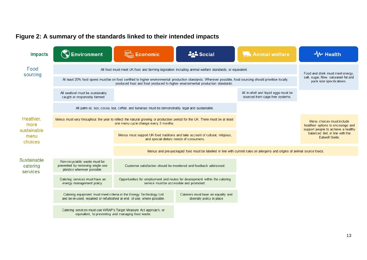### **Figure 2: A summary of the standards linked to their intended impacts**

| <b>Impacts</b>                      | <b>Environment</b>                                                                                                                                                                                                                          | <b>Economic</b>                                                                                                                                                     | <b>ALL</b> Social                                                                                                        | <b>The Animal welfare</b>                                                                              | <b>W</b> Health                                                                                        |
|-------------------------------------|---------------------------------------------------------------------------------------------------------------------------------------------------------------------------------------------------------------------------------------------|---------------------------------------------------------------------------------------------------------------------------------------------------------------------|--------------------------------------------------------------------------------------------------------------------------|--------------------------------------------------------------------------------------------------------|--------------------------------------------------------------------------------------------------------|
| Food<br>sourcing                    | All food must meet UK food and farming legislation including animal welfare standards, or equivalent.                                                                                                                                       |                                                                                                                                                                     |                                                                                                                          | Food and drink must meet energy,<br>salt, sugar, fibre, saturated fat and<br>pack size specifications. |                                                                                                        |
|                                     | At least 20% food spend must be on food certified to higher environmental production standards. Wherever possible, food sourcing should prioritise locally<br>produced food and food produced to higher environmental production standards. |                                                                                                                                                                     |                                                                                                                          |                                                                                                        |                                                                                                        |
|                                     | All seafood must be sustainably<br>caught or responsibly farmed.                                                                                                                                                                            |                                                                                                                                                                     |                                                                                                                          | All in-shell and liquid eggs must be<br>sourced from cage-free systems.                                |                                                                                                        |
|                                     |                                                                                                                                                                                                                                             | All palm oil, soy, cocoa, tea, coffee, and bananas must be demonstrably legal and sustainable.                                                                      |                                                                                                                          |                                                                                                        |                                                                                                        |
| Heathier,<br>more                   |                                                                                                                                                                                                                                             | Menus must vary throughout the year to reflect the natural growing or production period for the UK. There must be at least<br>one menu cycle change every 3 months. |                                                                                                                          |                                                                                                        | Menu choices must include<br>healthier options to encourage and<br>support people to achieve a healthy |
| sustainable<br>menu<br>choices      |                                                                                                                                                                                                                                             | Menus must support UK food traditions and take account of cultural, religious,<br>and special dietary needs of consumers.                                           |                                                                                                                          |                                                                                                        | balanced diet, in line with the<br>Eatwell Guide                                                       |
|                                     |                                                                                                                                                                                                                                             |                                                                                                                                                                     | Menus and pre-packaged food must be labelled in line with current rules on allergens and origins of animal source foods. |                                                                                                        |                                                                                                        |
| Sustainable<br>catering<br>services | Non-recyclable waste must be<br>prevented by removing single use<br>plastics wherever possible.                                                                                                                                             | Customer satisfaction should be monitored and feedback addressed.                                                                                                   |                                                                                                                          |                                                                                                        |                                                                                                        |
|                                     | Catering services must have an<br>energy management policy.                                                                                                                                                                                 | service must be accessible and promoted.                                                                                                                            | Opportunities for employment and routes for development within the catering                                              |                                                                                                        |                                                                                                        |
|                                     | and be re-used, repaired or refurbished at end of use, where possible.                                                                                                                                                                      | Catering equipment must meet criteria in the Energy Technology List                                                                                                 | Caterers must have an equality and<br>diversity policy in place                                                          |                                                                                                        |                                                                                                        |
|                                     | equivalent, to preventing and managing food waste.                                                                                                                                                                                          | Catering services must use WRAP's Target Measure Act approach, or                                                                                                   |                                                                                                                          |                                                                                                        |                                                                                                        |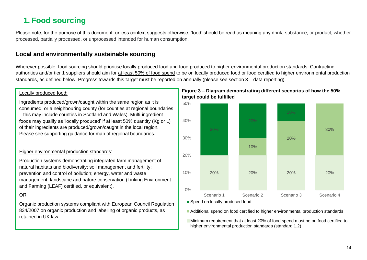## **1. Food sourcing**

Please note, for the purpose of this document, unless context suggests otherwise, 'food' should be read as meaning any drink, substance, or product, whether processed, partially processed, or unprocessed intended for human consumption.

### **Local and environmentally sustainable sourcing**

Wherever possible, food sourcing should prioritise locally produced food and food produced to higher environmental production standards. Contracting authorities and/or tier 1 suppliers should aim for at least 50% of food spend to be on locally produced food or food certified to higher environmental production standards, as defined below. Progress towards this target must be reported on annually (please see section 3 – data reporting).

#### Locally produced food:

<span id="page-13-0"></span>Ingredients produced/grown/caught within the same region as it is consumed, or a neighbouring county (for counties at regional boundaries – this may include counties in Scotland and Wales). Multi-ingredient foods may qualify as 'locally produced' if at least 50% quantity (Kg or L) of their ingredients are produced/grown/caught in the local region. Please see supporting guidance for map of regional boundaries.

#### Higher environmental production standards:

Production systems demonstrating integrated farm management of natural habitats and biodiversity; soil management and fertility; prevention and control of pollution; energy, water and waste management; landscape and nature conservation (Linking Environment and Farming (LEAF) certified, or equivalent).

### OR

Organic production systems compliant with European Council Regulation 834/2007 on organic production and labelling of organic products, as retained in UK law.

#### **Figure 3 – Diagram demonstrating different scenarios of how the 50% target could be fulfilled**



Spend on locally produced food

Additional spend on food certified to higher environmental production standards

Minimum requirement that at least 20% of food spend must be on food certified to higher environmental production standards (standard 1.2)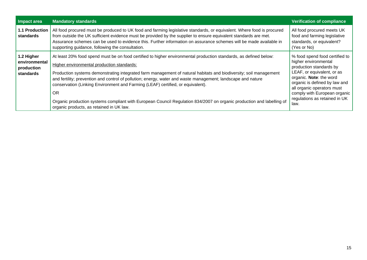| Impact area                                            | <b>Mandatory standards</b>                                                                                                                                                                                                                                                                                                                                                                                                                                                                                                                                                                                                                                                | <b>Verification of compliance</b>                                                                                                                                                                                                                                                  |
|--------------------------------------------------------|---------------------------------------------------------------------------------------------------------------------------------------------------------------------------------------------------------------------------------------------------------------------------------------------------------------------------------------------------------------------------------------------------------------------------------------------------------------------------------------------------------------------------------------------------------------------------------------------------------------------------------------------------------------------------|------------------------------------------------------------------------------------------------------------------------------------------------------------------------------------------------------------------------------------------------------------------------------------|
| <b>1.1 Production</b><br><b>standards</b>              | All food procured must be produced to UK food and farming legislative standards, or equivalent. Where food is procured<br>from outside the UK sufficient evidence must be provided by the supplier to ensure equivalent standards are met.<br>Assurance schemes can be used to evidence this. Further information on assurance schemes will be made available in<br>supporting guidance, following the consultation.                                                                                                                                                                                                                                                      | All food procured meets UK<br>food and farming legislative<br>standards, or equivalent?<br>(Yes or No)                                                                                                                                                                             |
| 1.2 Higher<br>environmental<br>production<br>standards | At least 20% food spend must be on food certified to higher environmental production standards, as defined below:<br>Higher environmental production standards:<br>Production systems demonstrating integrated farm management of natural habitats and biodiversity; soil management<br>and fertility; prevention and control of pollution; energy, water and waste management; landscape and nature<br>conservation (Linking Environment and Farming (LEAF) certified, or equivalent).<br><b>OR</b><br>Organic production systems compliant with European Council Regulation 834/2007 on organic production and labelling of<br>organic products, as retained in UK law. | % food spend food certified to<br>higher environmental<br>production standards by<br>LEAF, or equivalent, or as<br>organic. Note: the word<br>organic is defined by law and<br>all organic operators must<br>comply with European organic<br>regulations as retained in UK<br>law. |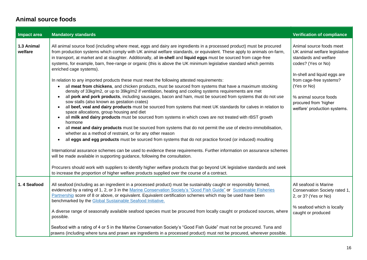### **Animal source foods**

| Impact area           | <b>Mandatory standards</b>                                                                                                                                                                                                                                                                                                                                                                                                                                                                                                                                                                                                                                                                                                                                                                                                                                                                                                                                                                                                                                                                                                                                                                                                                                                                                                                                                                                                                                                                                                                                                                                                                                                                                                                                                                                                                                                                                                                                                                                                                                                                               | <b>Verification of compliance</b>                                                                                                                                                                                                                                    |
|-----------------------|----------------------------------------------------------------------------------------------------------------------------------------------------------------------------------------------------------------------------------------------------------------------------------------------------------------------------------------------------------------------------------------------------------------------------------------------------------------------------------------------------------------------------------------------------------------------------------------------------------------------------------------------------------------------------------------------------------------------------------------------------------------------------------------------------------------------------------------------------------------------------------------------------------------------------------------------------------------------------------------------------------------------------------------------------------------------------------------------------------------------------------------------------------------------------------------------------------------------------------------------------------------------------------------------------------------------------------------------------------------------------------------------------------------------------------------------------------------------------------------------------------------------------------------------------------------------------------------------------------------------------------------------------------------------------------------------------------------------------------------------------------------------------------------------------------------------------------------------------------------------------------------------------------------------------------------------------------------------------------------------------------------------------------------------------------------------------------------------------------|----------------------------------------------------------------------------------------------------------------------------------------------------------------------------------------------------------------------------------------------------------------------|
| 1.3 Animal<br>welfare | All animal source food (including where meat, eggs and dairy are ingredients in a processed product) must be procured<br>from production systems which comply with UK animal welfare standards, or equivalent. These apply to animals on-farm,<br>in transport, at market and at slaughter. Additionally, all in-shell and liquid eggs must be sourced from cage-free<br>systems, for example, barn, free-range or organic (this is above the UK minimum legislative standard which permits<br>enriched cage systems).<br>In relation to any imported products these must meet the following attested requirements:<br>all meat from chickens, and chicken products, must be sourced from systems that have a maximum stocking<br>$\bullet$<br>density of 33kg/m2, or up to 39kg/m2 if ventilation, heating and cooling systems requirements are met<br>all pork and pork products, including sausages, bacon and ham, must be sourced from systems that do not use<br>$\bullet$<br>sow stalls (also known as gestation crates)<br>all beef, veal and dairy products must be sourced from systems that meet UK standards for calves in relation to<br>$\bullet$<br>space allocations, group housing and diet<br>all milk and dairy products must be sourced from systems in which cows are not treated with rBST growth<br>$\bullet$<br>hormone<br>all meat and dairy products must be sourced from systems that do not permit the use of electro-immobilisation,<br>$\bullet$<br>whether as a method of restraint, or for any other reason<br>all eggs and egg products must be sourced from systems that do not practice forced (or induced) moulting<br>$\bullet$<br>International assurance schemes can be used to evidence these requirements. Further information on assurance schemes<br>will be made available in supporting guidance, following the consultation.<br>Procurers should work with suppliers to identify higher welfare products that go beyond UK legislative standards and seek<br>to increase the proportion of higher welfare products supplied over the course of a contract. | Animal source foods meet<br>UK animal welfare legislative<br>standards and welfare<br>codes? (Yes or No)<br>In-shell and liquid eggs are<br>from cage-free systems?<br>(Yes or No)<br>% animal source foods<br>procured from 'higher<br>welfare' production systems. |
| 1.4 Seafood           | All seafood (including as an ingredient in a processed product) must be sustainably caught or responsibly farmed,<br>evidenced by a rating of 1, 2, or 3 in the Marine Conservation Society's "Good Fish Guide" or Sustainable Fisheries<br>Partnership score of 8 or above, or equivalent. Equivalent certification schemes which may be used have been<br>benchmarked by the Global Sustainable Seafood Initiative.<br>A diverse range of seasonally available seafood species must be procured from locally caught or produced sources, where<br>possible.<br>Seafood with a rating of 4 or 5 in the Marine Conservation Society's "Good Fish Guide" must not be procured. Tuna and<br>prawns (including where tuna and prawn are ingredients in a processed product) must not be procured, wherever possible.                                                                                                                                                                                                                                                                                                                                                                                                                                                                                                                                                                                                                                                                                                                                                                                                                                                                                                                                                                                                                                                                                                                                                                                                                                                                                        | All seafood is Marine<br>Conservation Society rated 1,<br>2, or 3? (Yes or No)<br>% seafood which is locally<br>caught or produced                                                                                                                                   |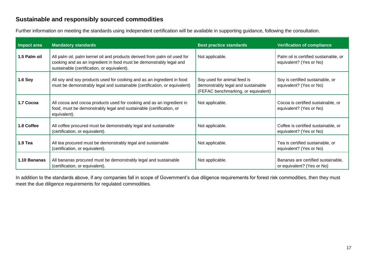### **Sustainable and responsibly sourced commodities**

Further information on meeting the standards using independent certification will be available in supporting guidance, following the consultation.

| Impact area    | <b>Mandatory standards</b>                                                                                                                                                                      | <b>Best practice standards</b>                                                                           | <b>Verification of compliance</b>                                |
|----------------|-------------------------------------------------------------------------------------------------------------------------------------------------------------------------------------------------|----------------------------------------------------------------------------------------------------------|------------------------------------------------------------------|
| 1.5 Palm oil   | All palm oil, palm kernel oil and products derived from palm oil used for<br>cooking and as an ingredient in food must be demonstrably legal and<br>sustainable (certification, or equivalent). | Not applicable.                                                                                          | Palm oil is certified sustainable, or<br>equivalent? (Yes or No) |
| <b>1.6 Soy</b> | All soy and soy products used for cooking and as an ingredient in food<br>must be demonstrably legal and sustainable (certification, or equivalent)                                             | Soy used for animal feed is<br>demonstrably legal and sustainable<br>(FEFAC benchmarking, or equivalent) | Soy is certified sustainable, or<br>equivalent? (Yes or No)      |
| 1.7 Cocoa      | All cocoa and cocoa products used for cooking and as an ingredient in<br>food, must be demonstrably legal and sustainable (certification, or<br>equivalent).                                    | Not applicable.                                                                                          | Cocoa is certified sustainable, or<br>equivalent? (Yes or No)    |
| 1.8 Coffee     | All coffee procured must be demonstrably legal and sustainable<br>(certification, or equivalent).                                                                                               | Not applicable.                                                                                          | Coffee is certified sustainable, or<br>equivalent? (Yes or No)   |
| $1.9$ Tea      | All tea procured must be demonstrably legal and sustainable<br>(certification, or equivalent).                                                                                                  | Not applicable.                                                                                          | Tea is certified sustainable, or<br>equivalent? (Yes or No)      |
| 1.10 Bananas   | All bananas procured must be demonstrably legal and sustainable<br>(certification, or equivalent).                                                                                              | Not applicable.                                                                                          | Bananas are certified sustainable,<br>or equivalent? (Yes or No) |

In addition to the standards above, if any companies fall in scope of Government's due diligence requirements for forest risk commodities, then they must meet the due diligence requirements for regulated commodities.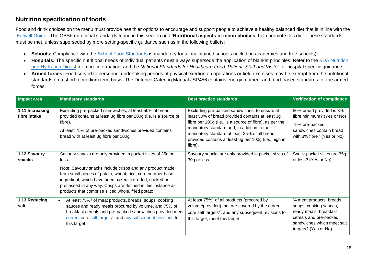### **Nutrition specification of foods**

Food and drink choices on the menu must provide healthier options to encourage and support people to achieve a healthy balanced diet that is in line with the ['Eatwell Guide'.](https://www.gov.uk/government/publications/the-eatwell-guide) The GBSF nutritional standards found in this section and **'Nutritional aspects of menu choices'** help promote this diet. These standards must be met, unless superseded by more setting-specific guidance such as in the following bullets:

- Schools: Compliance with the [School Food Standards](https://www.gov.uk/government/publications/school-food-standards-resources-for-schools) is mandatory for all maintained schools (including academies and free schools).
- **Hospitals:** The specific nutritional needs of individual patients must always supersede the application of blanket principles. Refer to the [BDA Nutrition](https://www.bda.uk.com/specialist-groups-and-branches/food-services-specialist-group/nutrition-and-hydration-digest.html)  [and Hydration Digest](https://www.bda.uk.com/specialist-groups-and-branches/food-services-specialist-group/nutrition-and-hydration-digest.html) for more information, and the *National Standards for Healthcare Food: Patient, Staff and Visitor* for hospital specific guidance.
- **Armed forces:** Food served to personnel undertaking periods of physical exertion on operations or field exercises may be exempt from the nutritional standards on a short to medium term basis. The Defence Catering Manual JSP456 contains energy, nutrient and food-based standards for the armed forces.

| Impact area                     | <b>Mandatory standards</b>                                                                                                                                                                                                                                                                                                                                                      | <b>Best practice standards</b>                                                                                                                                                                                                                                                                                                 | <b>Verification of compliance</b>                                                                                                                            |
|---------------------------------|---------------------------------------------------------------------------------------------------------------------------------------------------------------------------------------------------------------------------------------------------------------------------------------------------------------------------------------------------------------------------------|--------------------------------------------------------------------------------------------------------------------------------------------------------------------------------------------------------------------------------------------------------------------------------------------------------------------------------|--------------------------------------------------------------------------------------------------------------------------------------------------------------|
| 1.11 Increasing<br>fibre intake | Excluding pre-packed sandwiches, at least 50% of bread<br>provided contains at least 3g fibre per 100g (i.e. is a source of<br>fibre).<br>At least 75% of pre-packed sandwiches provided contains<br>bread with at least 3g fibre per 100g.                                                                                                                                     | Excluding pre-packed sandwiches, to ensure at<br>least 50% of bread provided contains at least 3g<br>fibre per 100g (i.e., is a source of fibre), as per the<br>mandatory standard and, in addition to the<br>mandatory standard at least 25% of all bread<br>provided contains at least 6g per 100g (i.e., high in<br>fibre). | 50% bread provided is 3%<br>fibre minimum? (Yes or No)<br>75% pre-packed<br>sandwiches contain bread<br>with 3% fibre? (Yes or No)                           |
| 1.12 Savoury<br>snacks          | Savoury snacks are only provided in packet sizes of 35g or<br>less.<br>Note: Savoury snacks include crisps and any product made<br>from small pieces of potato, wheat, rice, corn or other base<br>ingredient, which have been baked, extruded, cooked or<br>processed in any way. Crisps are defined in this instance as<br>products that comprise sliced whole, fried potato. | Savoury snacks are only provided in packet sizes of<br>30g or less.                                                                                                                                                                                                                                                            | Snack packet sizes are 35g<br>or less? (Yes or No)                                                                                                           |
| 1.13 Reducing<br>salt           | At least 75% <sup>1</sup> of meat products, breads, soups, cooking<br>sauces and ready meals procured by volume, and 75% of<br>breakfast cereals and pre-packed sandwiches provided meet<br>current core salt targets <sup>2</sup> , and any subsequent revisions to<br>this target.                                                                                            | At least 75% <sup>1</sup> of all products (procured by<br>volume/provided) that are covered by the current<br>core salt targets <sup>2</sup> , and any subsequent revisions to<br>this target, meet this target.                                                                                                               | % meat products, breads,<br>soups, cooking sauces,<br>ready meals, breakfast<br>cereals and pre-packed<br>sandwiches which meet salt<br>targets? (Yes or No) |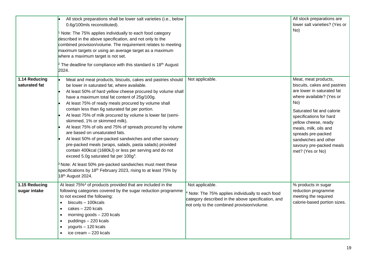|                                | All stock preparations shall be lower salt varieties (i.e., below<br>0.6g/100mls reconstituted).<br>Note: The 75% applies individually to each food category<br>described in the above specification, and not only to the<br>combined provision/volume. The requirement relates to meeting<br>maximum targets or using an average target as a maximum<br>where a maximum target is not set.<br><sup>2</sup> The deadline for compliance with this standard is 18 <sup>th</sup> August<br>2024.                                                                                                                                                                                                                                                                                                                                                                                                                                                                       |                                                                                                                                                                        | All stock preparations are<br>lower salt varieties? (Yes or<br>No)                                                                                                                                                                                                                                                           |
|--------------------------------|----------------------------------------------------------------------------------------------------------------------------------------------------------------------------------------------------------------------------------------------------------------------------------------------------------------------------------------------------------------------------------------------------------------------------------------------------------------------------------------------------------------------------------------------------------------------------------------------------------------------------------------------------------------------------------------------------------------------------------------------------------------------------------------------------------------------------------------------------------------------------------------------------------------------------------------------------------------------|------------------------------------------------------------------------------------------------------------------------------------------------------------------------|------------------------------------------------------------------------------------------------------------------------------------------------------------------------------------------------------------------------------------------------------------------------------------------------------------------------------|
| 1.14 Reducing<br>saturated fat | Meat and meat products, biscuits, cakes and pastries should<br>be lower in saturated fat, where available.<br>At least 50% of hard yellow cheese procured by volume shall<br>have a maximum total fat content of 25g/100g.<br>At least 75% of ready meals procured by volume shall<br>contain less than 6g saturated fat per portion.<br>At least 75% of milk procured by volume is lower fat (semi-<br>skimmed, 1% or skimmed milk).<br>At least 75% of oils and 75% of spreads procured by volume<br>are based on unsaturated fats.<br>At least 50% of pre-packed sandwiches and other savoury<br>pre-packed meals (wraps, salads, pasta salads) provided<br>contain 400kcal (1680kJ) or less per serving and do not<br>exceed 5.0g saturated fat per 100g <sup>3</sup> .<br><sup>3</sup> Note: At least 50% pre-packed sandwiches must meet these<br>specifications by 18 <sup>th</sup> February 2023, rising to at least 75% by<br>18 <sup>th</sup> August 2024. | Not applicable.                                                                                                                                                        | Meat, meat products,<br>biscuits, cakes and pastries<br>are lower in saturated fat<br>where available? (Yes or<br>No)<br>Saturated fat and calorie<br>specifications for hard<br>yellow cheese, ready<br>meals, milk, oils and<br>spreads pre-packed<br>sandwiches and other<br>savoury pre-packed meals<br>met? (Yes or No) |
| 1.15 Reducing<br>sugar intake  | At least 75% <sup>4</sup> of products provided that are included in the<br>following categories covered by the sugar reduction programme<br>to not exceed the following:<br>biscuits - 100kcals<br>cakes - 220 kcals<br>$\bullet$<br>morning goods - 220 kcals<br>$\bullet$<br>puddings - 220 kcals<br>$\bullet$<br>yogurts - 120 kcals<br>ice cream - 220 kcals                                                                                                                                                                                                                                                                                                                                                                                                                                                                                                                                                                                                     | Not applicable.<br>Note: The 75% applies individually to each food<br>category described in the above specification, and<br>not only to the combined provision/volume. | % products in sugar<br>reduction programme<br>meeting the required<br>calorie-based portion sizes.                                                                                                                                                                                                                           |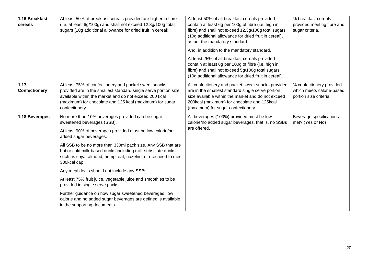| 1.16 Breakfast<br>cereals    | At least 50% of breakfast cereals provided are higher in fibre<br>(i.e. at least 6g/100g) and shall not exceed 12.3g/100g total<br>sugars (10g additional allowance for dried fruit in cereal).                                                                                                                                                                                                                                                                                                                                                                                                                                                                                                         | At least 50% of all breakfast cereals provided<br>contain at least 6g per 100g of fibre (i.e. high in<br>fibre) and shall not exceed 12.3g/100g total sugars<br>(10g additional allowance for dried fruit in cereal),<br>as per the mandatory standard.<br>And, in addition to the mandatory standard.<br>At least 25% of all breakfast cereals provided<br>contain at least 6g per 100g of fibre (i.e. high in<br>fibre) and shall not exceed 5g/100g total sugars<br>(10g additional allowance for dried fruit in cereal). | % breakfast cereals<br>provided meeting fibre and<br>sugar criteria.            |
|------------------------------|---------------------------------------------------------------------------------------------------------------------------------------------------------------------------------------------------------------------------------------------------------------------------------------------------------------------------------------------------------------------------------------------------------------------------------------------------------------------------------------------------------------------------------------------------------------------------------------------------------------------------------------------------------------------------------------------------------|------------------------------------------------------------------------------------------------------------------------------------------------------------------------------------------------------------------------------------------------------------------------------------------------------------------------------------------------------------------------------------------------------------------------------------------------------------------------------------------------------------------------------|---------------------------------------------------------------------------------|
| 1.17<br><b>Confectionery</b> | At least 75% of confectionery and packet sweet snacks<br>provided are in the smallest standard single serve portion size<br>available within the market and do not exceed 200 kcal<br>(maximum) for chocolate and 125 kcal (maximum) for sugar<br>confectionery.                                                                                                                                                                                                                                                                                                                                                                                                                                        | All confectionery and packet sweet snacks provided<br>are in the smallest standard single serve portion<br>size available within the market and do not exceed<br>200kcal (maximum) for chocolate and 125kcal<br>(maximum) for sugar confectionery.                                                                                                                                                                                                                                                                           | % confectionery provided<br>which meets calorie-based<br>portion size criteria. |
| 1.18 Beverages               | No more than 10% beverages provided can be sugar<br>sweetened beverages (SSB).<br>At least 90% of beverages provided must be low calorie/no<br>added sugar beverages.<br>All SSB to be no more than 330ml pack size. Any SSB that are<br>hot or cold milk-based drinks including milk substitute drinks<br>such as soya, almond, hemp, oat, hazelnut or rice need to meet<br>300kcal cap.<br>Any meal deals should not include any SSBs.<br>At least 75% fruit juice, vegetable juice and smoothies to be<br>provided in single serve packs.<br>Further guidance on how sugar sweetened beverages, low<br>calorie and no added sugar beverages are defined is available<br>in the supporting documents. | All beverages (100%) provided must be low<br>calorie/no added sugar beverages, that is, no SSBs<br>are offered.                                                                                                                                                                                                                                                                                                                                                                                                              | Beverage specifications<br>met? (Yes or No)                                     |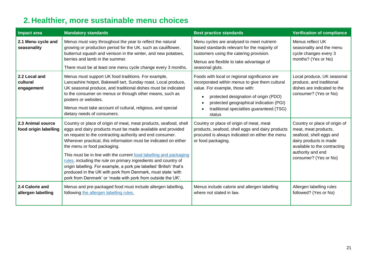# **2. Healthier, more sustainable menu choices**

<span id="page-20-0"></span>

| <b>Impact area</b>                         | <b>Mandatory standards</b>                                                                                                                                                                                                                                                                                                                                                                                                                                                                                                                                                                                                                     | <b>Best practice standards</b>                                                                                                                                                                                                                                                | <b>Verification of compliance</b>                                                                                                                                                        |
|--------------------------------------------|------------------------------------------------------------------------------------------------------------------------------------------------------------------------------------------------------------------------------------------------------------------------------------------------------------------------------------------------------------------------------------------------------------------------------------------------------------------------------------------------------------------------------------------------------------------------------------------------------------------------------------------------|-------------------------------------------------------------------------------------------------------------------------------------------------------------------------------------------------------------------------------------------------------------------------------|------------------------------------------------------------------------------------------------------------------------------------------------------------------------------------------|
| 2.1 Menu cycle and<br>seasonality          | Menus must vary throughout the year to reflect the natural<br>growing or production period for the UK, such as cauliflower,<br>butternut squash and venison in the winter, and new potatoes,<br>berries and lamb in the summer.<br>There must be at least one menu cycle change every 3 months.                                                                                                                                                                                                                                                                                                                                                | Menu cycles are analysed to meet nutrient-<br>based standards relevant for the majority of<br>customers using the catering provision.<br>Menus are flexible to take advantage of<br>seasonal gluts.                                                                           | Menus reflect UK<br>seasonality and the menu<br>cycle changes every 3<br>months? (Yes or No)                                                                                             |
| 2.2 Local and<br>cultural<br>engagement    | Menus must support UK food traditions. For example,<br>Lancashire hotpot, Bakewell tart, Sunday roast. Local produce,<br>UK seasonal produce, and traditional dishes must be indicated<br>to the consumer on menus or through other means, such as<br>posters or websites.<br>Menus must take account of cultural, religious, and special<br>dietary needs of consumers.                                                                                                                                                                                                                                                                       | Foods with local or regional significance are<br>incorporated within menus to give them cultural<br>value. For example, those with:<br>protected designation of origin (PDO)<br>protected geographical indication (PGI)<br>traditional specialties guaranteed (TSG)<br>status | Local produce, UK seasonal<br>produce, and traditional<br>dishes are indicated to the<br>consumer? (Yes or No)                                                                           |
| 2.3 Animal source<br>food origin labelling | Country or place of origin of meat, meat products, seafood, shell<br>eggs and dairy products must be made available and provided<br>on request to the contracting authority and end consumer.<br>Wherever practical, this information must be indicated on either<br>the menu or food packaging.<br>This must be in line with the current food labelling and packaging<br>rules, including the rule on primary ingredients and country of<br>origin labelling. For example, a pork pie labelled 'British' that's<br>produced in the UK with pork from Denmark, must state 'with<br>pork from Denmark' or 'made with pork from outside the UK'. | Country or place of origin of meat, meat<br>products, seafood, shell eggs and dairy products<br>procured is always indicated on either the menu<br>or food packaging.                                                                                                         | Country or place of origin of<br>meat, meat products,<br>seafood, shell eggs and<br>dairy products is made<br>available to the contracting<br>authority and end<br>consumer? (Yes or No) |
| 2.4 Calorie and<br>allergen labelling      | Menus and pre-packaged food must include allergen labelling,<br>following the allergen labelling rules.                                                                                                                                                                                                                                                                                                                                                                                                                                                                                                                                        | Menus include calorie and allergen labelling<br>where not stated in law.                                                                                                                                                                                                      | Allergen labelling rules<br>followed? (Yes or No)                                                                                                                                        |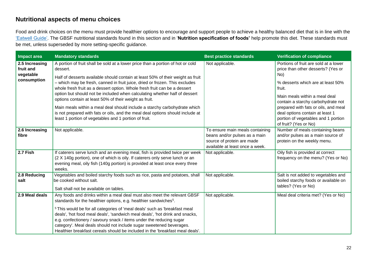### **Nutritional aspects of menu choices**

Food and drink choices on the menu must provide healthier options to encourage and support people to achieve a healthy balanced diet that is in line with the ['Eatwell Guide'.](https://www.gov.uk/government/publications/the-eatwell-guide) The GBSF nutritional standards found in this section and in '**Nutrition specification of foods'** help promote this diet. These standards must be met, unless superseded by more setting-specific guidance.

| Impact area                                             | <b>Mandatory standards</b>                                                                                                                                                                                                                                                                                                                                                                                                                                                                                                                                                                                                                                                                                 | <b>Best practice standards</b>                                                                                                    | <b>Verification of compliance</b>                                                                                                                                                                                                                                                                                                                   |
|---------------------------------------------------------|------------------------------------------------------------------------------------------------------------------------------------------------------------------------------------------------------------------------------------------------------------------------------------------------------------------------------------------------------------------------------------------------------------------------------------------------------------------------------------------------------------------------------------------------------------------------------------------------------------------------------------------------------------------------------------------------------------|-----------------------------------------------------------------------------------------------------------------------------------|-----------------------------------------------------------------------------------------------------------------------------------------------------------------------------------------------------------------------------------------------------------------------------------------------------------------------------------------------------|
| 2.5 Increasing<br>fruit and<br>vegetable<br>consumption | A portion of fruit shall be sold at a lower price than a portion of hot or cold<br>dessert.<br>Half of desserts available should contain at least 50% of their weight as fruit<br>- which may be fresh, canned in fruit juice, dried or frozen. This excludes<br>whole fresh fruit as a dessert option. Whole fresh fruit can be a dessert<br>option but should not be included when calculating whether half of dessert<br>options contain at least 50% of their weight as fruit.<br>Main meals within a meal deal should include a starchy carbohydrate which<br>is not prepared with fats or oils, and the meal deal options should include at<br>least 1 portion of vegetables and 1 portion of fruit. | Not applicable.                                                                                                                   | Portions of fruit are sold at a lower<br>price than other desserts? (Yes or<br>No)<br>% desserts which are at least 50%<br>fruit.<br>Main meals within a meal deal<br>contain a starchy carbohydrate not<br>prepared with fats or oils, and meal<br>deal options contain at least 1<br>portion of vegetables and 1 portion<br>of fruit? (Yes or No) |
| 2.6 Increasing<br>fibre                                 | Not applicable.                                                                                                                                                                                                                                                                                                                                                                                                                                                                                                                                                                                                                                                                                            | To ensure main meals containing<br>beans and/or pulses as a main<br>source of protein are made<br>available at least once a week. | Number of meals containing beans<br>and/or pulses as a main source of<br>protein on the weekly menu.                                                                                                                                                                                                                                                |
| 2.7 Fish                                                | If caterers serve lunch and an evening meal, fish is provided twice per week<br>(2 X 140g portion), one of which is oily. If caterers only serve lunch or an<br>evening meal, oily fish (140g portion) is provided at least once every three<br>weeks.                                                                                                                                                                                                                                                                                                                                                                                                                                                     | Not applicable.                                                                                                                   | Oily fish is provided at correct<br>frequency on the menu? (Yes or No)                                                                                                                                                                                                                                                                              |
| 2.8 Reducing<br>salt                                    | Vegetables and boiled starchy foods such as rice, pasta and potatoes, shall<br>be cooked without salt.<br>Salt shall not be available on tables.                                                                                                                                                                                                                                                                                                                                                                                                                                                                                                                                                           | Not applicable.                                                                                                                   | Salt is not added to vegetables and<br>boiled starchy foods or available on<br>tables? (Yes or No)                                                                                                                                                                                                                                                  |
| 2.9 Meal deals                                          | Any foods and drinks within a meal deal must also meet the relevant GBSF<br>standards for the healthier options, e.g. healthier sandwiches <sup>5</sup> .<br><sup>5</sup> This would be for all categories of 'meal deals' such as 'breakfast meal<br>deals', 'hot food meal deals', 'sandwich meal deals', 'hot drink and snacks,<br>e.g. confectionery / savoury snack / items under the reducing sugar<br>category'. Meal deals should not include sugar sweetened beverages.<br>Healthier breakfast cereals should be included in the 'breakfast meal deals'.                                                                                                                                          | Not applicable.                                                                                                                   | Meal deal criteria met? (Yes or No)                                                                                                                                                                                                                                                                                                                 |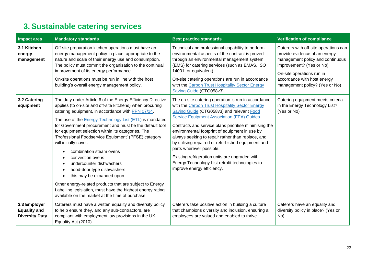# **3. Sustainable catering services**

<span id="page-22-0"></span>

| Impact area                                                  | <b>Mandatory standards</b>                                                                                                                                                                                                                                                                                                                                                                                                                                                                                                                                                                                                                                                                                                                                                  | <b>Best practice standards</b>                                                                                                                                                                                                                                                                                                                                                                                                                                                                                                                                                                 | <b>Verification of compliance</b>                                                                                                                                                                                                    |
|--------------------------------------------------------------|-----------------------------------------------------------------------------------------------------------------------------------------------------------------------------------------------------------------------------------------------------------------------------------------------------------------------------------------------------------------------------------------------------------------------------------------------------------------------------------------------------------------------------------------------------------------------------------------------------------------------------------------------------------------------------------------------------------------------------------------------------------------------------|------------------------------------------------------------------------------------------------------------------------------------------------------------------------------------------------------------------------------------------------------------------------------------------------------------------------------------------------------------------------------------------------------------------------------------------------------------------------------------------------------------------------------------------------------------------------------------------------|--------------------------------------------------------------------------------------------------------------------------------------------------------------------------------------------------------------------------------------|
| 3.1 Kitchen<br>energy<br>management                          | Off-site preparation kitchen operations must have an<br>energy management policy in place, appropriate to the<br>nature and scale of their energy use and consumption.<br>The policy must commit the organisation to the continual<br>improvement of its energy performance.<br>On-site operations must be run in line with the host<br>building's overall energy management policy.                                                                                                                                                                                                                                                                                                                                                                                        | Technical and professional capability to perform<br>environmental aspects of the contract is proved<br>through an environmental management system<br>(EMS) for catering services (such as EMAS, ISO<br>14001, or equivalent).<br>On-site catering operations are run in accordance<br>with the Carbon Trust Hospitality Sector Energy<br>Saving Guide (CTG058v3).                                                                                                                                                                                                                              | Caterers with off-site operations can<br>provide evidence of an energy<br>management policy and continuous<br>improvement? (Yes or No)<br>On-site operations run in<br>accordance with host energy<br>management policy? (Yes or No) |
| 3.2 Catering<br>equipment                                    | The duty under Article 6 of the Energy Efficiency Directive<br>applies (to on-site and off-site kitchens) when procuring<br>catering equipment, in accordance with PPN 07/14.<br>The use of the <b>Energy Technology List (ETL)</b> is mandated<br>for Government procurement and must be the default tool<br>for equipment selection within its categories. The<br>'Professional Foodservice Equipment' (PFSE) category<br>will initially cover:<br>combination steam ovens<br>convection ovens<br>undercounter dishwashers<br>٠<br>hood-door type dishwashers<br>this may be expanded upon.<br>Other energy-related products that are subject to Energy<br>Labelling legislation, must have the highest energy rating<br>available on the market at the time of purchase. | The on-site catering operation is run in accordance<br>with the Carbon Trust Hospitality Sector Energy<br>Saving Guide (CTG058v3) and relevant Food<br><b>Service Equipment Association (FEA) Guides.</b><br>Contracts and service plans prioritise minimising the<br>environmental footprint of equipment in use by<br>always seeking to repair rather than replace, and<br>by utilising repaired or refurbished equipment and<br>parts wherever possible.<br>Existing refrigeration units are upgraded with<br>Energy Technology List retrofit technologies to<br>improve energy efficiency. | Catering equipment meets criteria<br>in the Energy Technology List?<br>(Yes or No)                                                                                                                                                   |
| 3.3 Employer<br><b>Equality and</b><br><b>Diversity Duty</b> | Caterers must have a written equality and diversity policy<br>to help ensure they, and any sub-contractors, are<br>compliant with employment law provisions in the UK<br>Equality Act (2010).                                                                                                                                                                                                                                                                                                                                                                                                                                                                                                                                                                               | Caterers take positive action in building a culture<br>that champions diversity and inclusion, ensuring all<br>employees are valued and enabled to thrive.                                                                                                                                                                                                                                                                                                                                                                                                                                     | Caterers have an equality and<br>diversity policy in place? (Yes or<br>No)                                                                                                                                                           |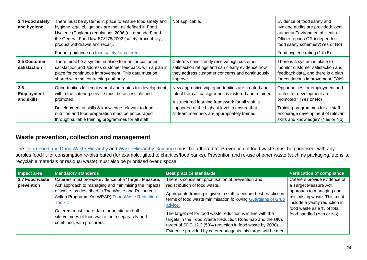| 3.4 Food safety<br>and hygiene         | There must be systems in place to ensure food safety and<br>hygiene legal obligations are met, as defined in Food<br>Hygiene (England) regulations 2006 (as amended) and<br>the General Food law EC/178/2002 (safety, traceability,<br>product withdrawal and recall).<br>Further guidance on food safety for caterers | Not applicable.                                                                                                                                                                                                                                               | Evidence of food safety and<br>hygiene audits are provided: local<br>authority Environmental Health<br>Officer reports OR independent<br>food safety schemes? (Yes or No)<br>Food hygiene rating (1 to 5) |
|----------------------------------------|------------------------------------------------------------------------------------------------------------------------------------------------------------------------------------------------------------------------------------------------------------------------------------------------------------------------|---------------------------------------------------------------------------------------------------------------------------------------------------------------------------------------------------------------------------------------------------------------|-----------------------------------------------------------------------------------------------------------------------------------------------------------------------------------------------------------|
| 3.5 Customer<br>satisfaction           | There must be a system in place to monitor customer<br>satisfaction and address customer feedback, with a plan in<br>place for continuous improvement. This data must be<br>shared with the contracting authority.                                                                                                     | Caterers consistently receive high customer<br>satisfaction ratings and can clearly evidence how<br>they address customer concerns and continuously<br>improve.                                                                                               | There is a system in place to<br>monitor customer satisfaction and<br>feedback data, and there is a plan<br>for continuous improvement. (Y/N)                                                             |
| 3.6<br><b>Employment</b><br>and skills | Opportunities for employment and routes for development<br>within the catering service must be accessible and<br>promoted.<br>Development of skills & knowledge relevant to food,<br>nutrition and food preparation must be encouraged<br>through suitable training programmes for all staff.                          | New apprenticeship opportunities are created and<br>talent from all backgrounds is fostered and retained.<br>A structured learning framework for all staff is<br>supported at the highest level to ensure that<br>all team members are appropriately trained. | Opportunities for employment and<br>routes for development are<br>promoted? (Yes or No)<br>Training programmes for all staff<br>encourage development of relevant<br>skills and knowledge? (Yes or No)    |

### **Waste prevention, collection and management**

The [Defra Food and Drink Waste Hierarchy](https://www.gov.uk/government/publications/food-and-drink-waste-hierarchy-deal-with-surplus-and-waste/food-and-drink-waste-hierarchy-deal-with-surplus-and-waste) and [Waste Hierarchy Guidance](https://www.gov.uk/government/publications/guidance-on-applying-the-waste-hierarchy) must be adhered to. Prevention of food waste must be prioritised, with any surplus food fit for consumption re-distributed (for example, gifted to charities/food banks). Prevention and re-use of other waste (such as packaging, utensils, recyclable materials or residual waste) must also be prioritised over disposal.

| Impact area                  | <b>Mandatory standards</b>                                                                                                                                                                                                                       | <b>Best practice standards</b>                                                                                                                                                                                                                                                                                                                                                                         | <b>Verification of compliance</b>                                                                                                                  |
|------------------------------|--------------------------------------------------------------------------------------------------------------------------------------------------------------------------------------------------------------------------------------------------|--------------------------------------------------------------------------------------------------------------------------------------------------------------------------------------------------------------------------------------------------------------------------------------------------------------------------------------------------------------------------------------------------------|----------------------------------------------------------------------------------------------------------------------------------------------------|
| 3.7 Food waste<br>prevention | Caterers must provide evidence of a 'Target, Measure,<br>Act' approach to managing and minimising the impacts                                                                                                                                    | There is consistent prioritisation of prevention and<br>redistribution of food waste.                                                                                                                                                                                                                                                                                                                  | Caterers provide evidence of<br>a Target Measure Act                                                                                               |
|                              | of waste, as described in The Waste and Resources<br>Action Programme's (WRAP) Food Waste Reduction<br>Toolkit.<br>Caterers must share data for on-site and off-<br>site volumes of food waste, both separately and<br>combined, with procurers. | Appropriate training is given to staff to ensure best practice in<br>terms of food waste minimisation following Guardians of Grub<br>advice.<br>The target set for food waste reduction is in line with the<br>targets in the Food Waste Reduction Roadmap and the UK's<br>target of SDG 12.3 (50% reduction in food waste by 2030).<br>Evidence provided by caterer suggests this target will be met. | approach to managing and<br>minimising waste. This must<br>include a yearly reduction in<br>food waste as a % of total<br>food handled (Yes or No) |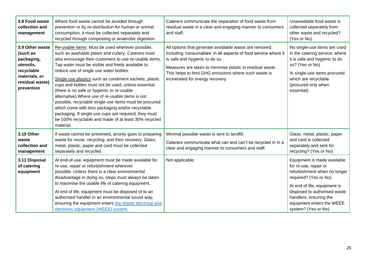| 3.8 Food waste<br>collection and<br>management                                                                         | Where food waste cannot be avoided through<br>prevention or by re-distribution for human or animal<br>consumption, it must be collected separately and<br>recycled through composting or anaerobic digestion.                                                                                                                                                                                                                                                                                                                                                                                                                                                                                                                    | Caterers communicate the separation of food waste from<br>residual waste in a clear and engaging manner to consumers<br>and staff.                                                                                                                                                                                    | Unavoidable food waste is<br>collected separately from<br>other waste and recycled?<br>(Yes or No)                                                                                                                                                          |
|------------------------------------------------------------------------------------------------------------------------|----------------------------------------------------------------------------------------------------------------------------------------------------------------------------------------------------------------------------------------------------------------------------------------------------------------------------------------------------------------------------------------------------------------------------------------------------------------------------------------------------------------------------------------------------------------------------------------------------------------------------------------------------------------------------------------------------------------------------------|-----------------------------------------------------------------------------------------------------------------------------------------------------------------------------------------------------------------------------------------------------------------------------------------------------------------------|-------------------------------------------------------------------------------------------------------------------------------------------------------------------------------------------------------------------------------------------------------------|
| 3.9 Other waste<br>(such as<br>packaging,<br>utensils,<br>recyclable<br>materials, or<br>residual waste)<br>prevention | Re-usable items: Must be used wherever possible,<br>such as washable plates and cutlery. Caterers must<br>also encourage their customers to use re-usable items.<br>Tap water must be visible and freely available to<br>reduce use of single use water bottles.<br>Single use plastics such as condiment sachets; plastic<br>cups and bottles must not be used, unless essential<br>(there is no safe or hygienic or re-usable<br>alternative). Where use of re-usable items is not<br>possible, recyclable single use items must be procured<br>which come with less packaging and/or recyclable<br>packaging. If single use cups are required, they must<br>be 100% recyclable and made of at least 30% recycled<br>material. | All options that generate avoidable waste are removed,<br>including 'consumables' in all aspects of food service where it<br>is safe and hygienic to do so.<br>Measures are taken to minimise plastic in residual waste.<br>This helps to limit GHG emissions where such waste is<br>incinerated for energy recovery. | No single-use items are used<br>in the catering service, where<br>it is safe and hygienic to do<br>so? (Yes or No)<br>% single-use items procured<br>which are recyclable<br>(procured only when<br>essential)                                              |
| 3.10 Other<br>waste<br>collection and<br>management                                                                    | If waste cannot be prevented, priority goes to preparing<br>waste for reuse, recycling, and then recovery. Glass,<br>metal, plastic, paper and card must be collected<br>separately and recycled.                                                                                                                                                                                                                                                                                                                                                                                                                                                                                                                                | Minimal possible waste is sent to landfill.<br>Caterers communicate what can and can't be recycled in in a<br>clear and engaging manner to consumers and staff.                                                                                                                                                       | Glass, metal, plastic, paper<br>and card is collected<br>separately and sent for<br>recycling? (Yes or No)                                                                                                                                                  |
| 3.11 Disposal<br>of catering<br>equipment                                                                              | At end-of-use, equipment must be made available for<br>re-use, repair or refurbishment wherever<br>possible. Unless there is a clear environmental<br>disadvantage in doing so, steps must always be taken<br>to maximise the usable life of catering equipment.<br>At end of life, equipment must be disposed of to an<br>authorised handler in an environmental sound way,<br>ensuring the equipment enters the Waste electrical and<br>electronic equipment (WEEE) system.                                                                                                                                                                                                                                                    | Not applicable.                                                                                                                                                                                                                                                                                                       | Equipment is made available<br>for re-use, repair or<br>refurbishment when no longer<br>required? (Yes or No)<br>At end of life, equipment is<br>disposed to authorised waste<br>handlers, ensuring the<br>equipment enters the WEEE<br>system? (Yes or No) |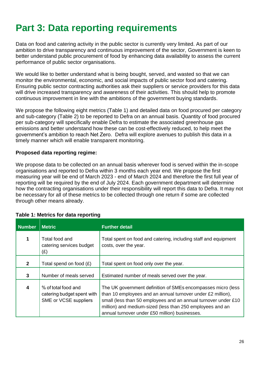# <span id="page-25-0"></span>**Part 3: Data reporting requirements**

Data on food and catering activity in the public sector is currently very limited. As part of our ambition to drive transparency and continuous improvement of the sector, Government is keen to better understand public procurement of food by enhancing data availability to assess the current performance of public sector organisations.

We would like to better understand what is being bought, served, and wasted so that we can monitor the environmental, economic, and social impacts of public sector food and catering. Ensuring public sector contracting authorities ask their suppliers or service providers for this data will drive increased transparency and awareness of their activities. This should help to promote continuous improvement in line with the ambitions of the government buying standards.

We propose the following eight metrics (Table 1) and detailed data on food procured per category and sub-category (Table 2) to be reported to Defra on an annual basis. Quantity of food procured per sub-category will specifically enable Defra to estimate the associated greenhouse gas emissions and better understand how these can be cost-effectively reduced, to help meet the government's ambition to reach Net Zero. Defra will explore avenues to publish this data in a timely manner which will enable transparent monitoring.

### **Proposed data reporting regime:**

We propose data to be collected on an annual basis wherever food is served within the in-scope organisations and reported to Defra within 3 months each year end. We propose the first measuring year will be end of March 2023 - end of March 2024 and therefore the first full year of reporting will be required by the end of July 2024. Each government department will determine how the contracting organisations under their responsibility will report this data to Defra. It may not be necessary for all of these metrics to be collected through one return if some are collected through other means already.

|  |  |  |  |  | Table 1: Metrics for data reporting |
|--|--|--|--|--|-------------------------------------|
|--|--|--|--|--|-------------------------------------|

| <b>Number</b> | <b>Metric</b>                                                              | <b>Further detail</b>                                                                                                                                                                                                                                                                                        |
|---------------|----------------------------------------------------------------------------|--------------------------------------------------------------------------------------------------------------------------------------------------------------------------------------------------------------------------------------------------------------------------------------------------------------|
|               | Total food and<br>catering services budget<br>(£)                          | Total spent on food and catering, including staff and equipment<br>costs, over the year.                                                                                                                                                                                                                     |
| $\mathbf{2}$  | Total spend on food $(E)$                                                  | Total spent on food only over the year.                                                                                                                                                                                                                                                                      |
| 3             | Number of meals served                                                     | Estimated number of meals served over the year.                                                                                                                                                                                                                                                              |
| 4             | % of total food and<br>catering budget spent with<br>SME or VCSE suppliers | The UK government definition of SMEs encompasses micro (less<br>than 10 employees and an annual turnover under £2 million),<br>small (less than 50 employees and an annual turnover under £10<br>million) and medium-sized (less than 250 employees and an<br>annual turnover under £50 million) businesses. |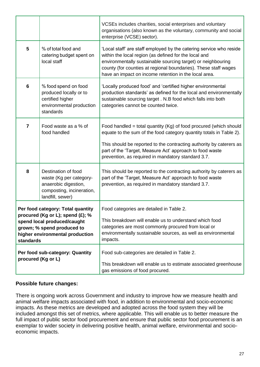|                                                                                                                                                                                    |                                                                                                             | VCSEs includes charities, social enterprises and voluntary<br>organisations (also known as the voluntary, community and social<br>enterprise (VCSE) sector).                                                                                                                                                                        |  |
|------------------------------------------------------------------------------------------------------------------------------------------------------------------------------------|-------------------------------------------------------------------------------------------------------------|-------------------------------------------------------------------------------------------------------------------------------------------------------------------------------------------------------------------------------------------------------------------------------------------------------------------------------------|--|
| 5                                                                                                                                                                                  | % of total food and<br>catering budget spent on<br>local staff                                              | 'Local staff' are staff employed by the catering service who reside<br>within the local region (as defined for the local and<br>environmentally sustainable sourcing target) or neighbouring<br>county (for counties at regional boundaries). These staff wages<br>have an impact on income retention in the local area.            |  |
| 6                                                                                                                                                                                  | % food spend on food<br>produced locally or to<br>certified higher<br>environmental production<br>standards | 'Locally produced food' and 'certified higher environmental<br>production standards' as defined for the local and environmentally<br>sustainable sourcing target . N.B food which falls into both<br>categories cannot be counted twice.                                                                                            |  |
| $\overline{7}$                                                                                                                                                                     | Food waste as a % of<br>food handled                                                                        | Food handled = total quantity $(Kg)$ of food procured (which should<br>equate to the sum of the food category quantity totals in Table 2).<br>This should be reported to the contracting authority by caterers as<br>part of the 'Target, Measure Act' approach to food waste<br>prevention, as required in mandatory standard 3.7. |  |
| 8<br>Destination of food<br>waste (Kg per category-<br>anaerobic digestion,<br>composting, incineration,<br>landfill, sewer)                                                       |                                                                                                             | This should be reported to the contracting authority by caterers as<br>part of the 'Target, Measure Act' approach to food waste<br>prevention, as required in mandatory standard 3.7.                                                                                                                                               |  |
| Per food category: Total quantity<br>procured (Kg or L); spend (£); %<br>spend local produced/caught<br>grown; % spend produced to<br>higher environmental production<br>standards |                                                                                                             | Food categories are detailed in Table 2.<br>This breakdown will enable us to understand which food<br>categories are most commonly procured from local or<br>environmentally sustainable sources, as well as environmental<br>impacts.                                                                                              |  |
| Per food sub-category: Quantity<br>procured (Kg or L)                                                                                                                              |                                                                                                             | Food sub-categories are detailed in Table 2.<br>This breakdown will enable us to estimate associated greenhouse<br>gas emissions of food procured.                                                                                                                                                                                  |  |

### **Possible future changes:**

There is ongoing work across Government and industry to improve how we measure health and animal welfare impacts associated with food, in addition to environmental and socio-economic impacts. As these metrics are developed and adopted across the food system they will be included amongst this set of metrics, where applicable. This will enable us to better measure the full impact of public sector food procurement and ensure that public sector food procurement is an exemplar to wider society in delivering positive health, animal welfare, environmental and socioeconomic impacts.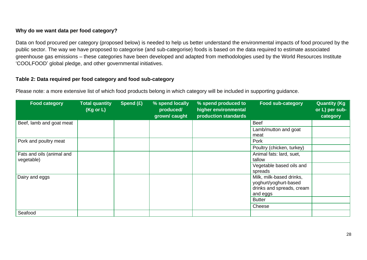### **Why do we want data per food category?**

Data on food procured per category (proposed below) is needed to help us better understand the environmental impacts of food procured by the public sector. The way we have proposed to categorise (and sub-categorise) foods is based on the data required to estimate associated greenhouse gas emissions – these categories have been developed and adapted from methodologies used by the World Resources Institute 'COOLFOOD' global pledge, and other governmental initiatives.

### **Table 2: Data required per food category and food sub-category**

Please note: a more extensive list of which food products belong in which category will be included in supporting guidance.

| <b>Food category</b>      | <b>Total quantity</b><br>(Kg or L) | Spend (£) | % spend locally<br>produced/<br>grown/ caught | % spend produced to<br>higher environmental<br>production standards | <b>Food sub-category</b>  | <b>Quantity (Kg)</b><br>or L) per sub-<br>category |
|---------------------------|------------------------------------|-----------|-----------------------------------------------|---------------------------------------------------------------------|---------------------------|----------------------------------------------------|
| Beef, lamb and goat meat  |                                    |           |                                               |                                                                     | <b>Beef</b>               |                                                    |
|                           |                                    |           |                                               |                                                                     | Lamb/mutton and goat      |                                                    |
|                           |                                    |           |                                               |                                                                     | meat                      |                                                    |
| Pork and poultry meat     |                                    |           |                                               |                                                                     | Pork                      |                                                    |
|                           |                                    |           |                                               |                                                                     | Poultry (chicken, turkey) |                                                    |
| Fats and oils (animal and |                                    |           |                                               |                                                                     | Animal fats: lard, suet,  |                                                    |
| vegetable)                |                                    |           |                                               |                                                                     | tallow                    |                                                    |
|                           |                                    |           |                                               |                                                                     | Vegetable based oils and  |                                                    |
|                           |                                    |           |                                               |                                                                     | spreads                   |                                                    |
| Dairy and eggs            |                                    |           |                                               |                                                                     | Milk, milk-based drinks,  |                                                    |
|                           |                                    |           |                                               |                                                                     | yoghurt/yoghurt-based     |                                                    |
|                           |                                    |           |                                               |                                                                     | drinks and spreads, cream |                                                    |
|                           |                                    |           |                                               |                                                                     | and eggs                  |                                                    |
|                           |                                    |           |                                               |                                                                     | <b>Butter</b>             |                                                    |
|                           |                                    |           |                                               |                                                                     | Cheese                    |                                                    |
| Seafood                   |                                    |           |                                               |                                                                     |                           |                                                    |